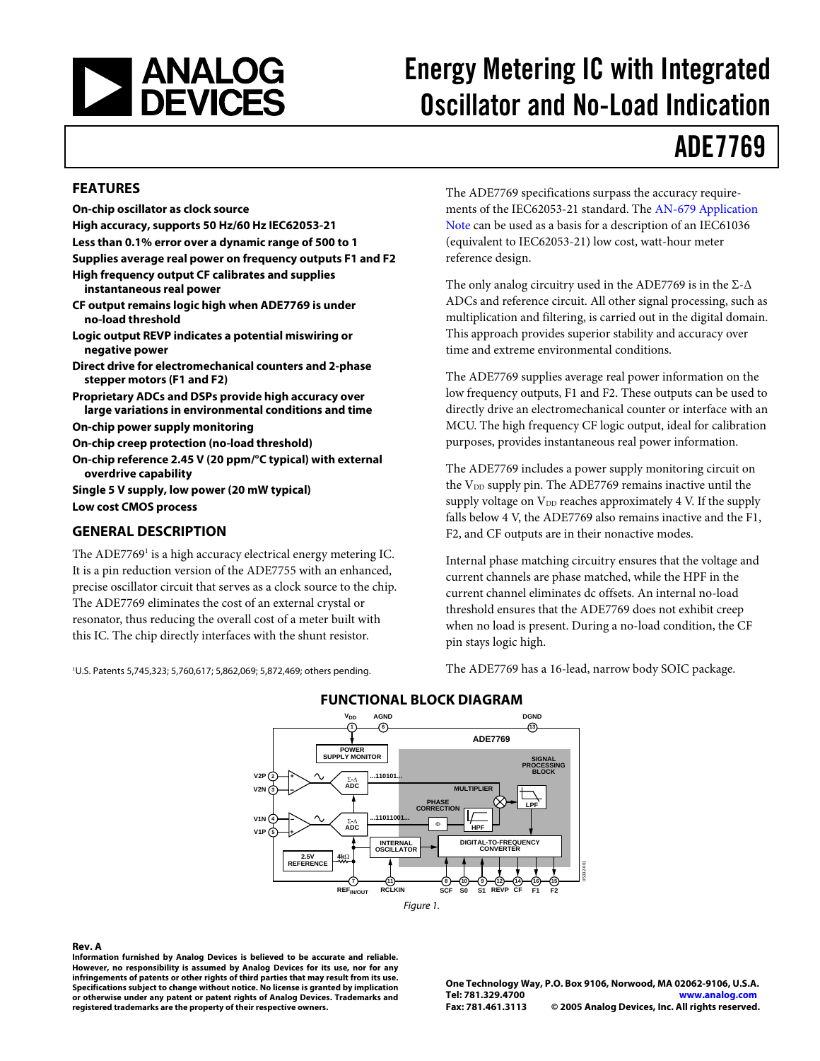

# Energy Metering IC with Integrated Oscillator and No-Load Indication

# ADE7769

#### **FEATURES**

**On-chip oscillator as clock source High accuracy, supports 50 Hz/60 Hz IEC62053-21 Less than 0.1% error over a dynamic range of 500 to 1 Supplies average real power on frequency outputs F1 and F2 High frequency output CF calibrates and supplies instantaneous real power CF output remains logic high when ADE7769 is under no-load threshold Logic output REVP indicates a potential miswiring or negative power Direct drive for electromechanical counters and 2-phase stepper motors (F1 and F2) Proprietary ADCs and DSPs provide high accuracy over large variations in environmental conditions and time On-chip power supply monitoring On-chip creep protection (no-load threshold) On-chip reference 2.45 V (20 ppm/°C typical) with external overdrive capability Single 5 V supply, low power (20 mW typical) Low cost CMOS process** 

### **GENERAL DESCRIPTION**

The ADE7769<sup>1</sup> is a high accuracy electrical energy metering IC. It is a pin reduction version of the ADE7755 with an enhanced, precise oscillator circuit that serves as a clock source to the chip. The ADE7769 eliminates the cost of an external crystal or resonator, thus reducing the overall cost of a meter built with this IC. The chip directly interfaces with the shunt resistor.

1 U.S. Patents 5,745,323; 5,760,617; 5,862,069; 5,872,469; others pending.

The ADE7769 specifications surpass the accuracy requirements of the IEC62053-21 standard. The [AN-679 Application](http://www.analog.com/UploadedFiles/Application_Notes/887718443AN_769_0.pdf#xml=http://search.analog.com/search/pdfPainter.aspx?url=http://www.analog.com/UploadedFiles/Application_Notes/887718443AN_769_0.pdf&fterm=AN-769&fterm=AN-769&la=en)  [Note c](http://www.analog.com/UploadedFiles/Application_Notes/887718443AN_769_0.pdf#xml=http://search.analog.com/search/pdfPainter.aspx?url=http://www.analog.com/UploadedFiles/Application_Notes/887718443AN_769_0.pdf&fterm=AN-769&fterm=AN-769&la=en)an be used as a basis for a description of an IEC61036 (equivalent to IEC62053-21) low cost, watt-hour meter reference design.

The only analog circuitry used in the ADE7769 is in the  $\Sigma$ - $\Delta$ ADCs and reference circuit. All other signal processing, such as multiplication and filtering, is carried out in the digital domain. This approach provides superior stability and accuracy over time and extreme environmental conditions.

The ADE7769 supplies average real power information on the low frequency outputs, F1 and F2. These outputs can be used to directly drive an electromechanical counter or interface with an MCU. The high frequency CF logic output, ideal for calibration purposes, provides instantaneous real power information.

The ADE7769 includes a power supply monitoring circuit on the V<sub>DD</sub> supply pin. The ADE7769 remains inactive until the supply voltage on  $V_{DD}$  reaches approximately 4 V. If the supply falls below 4 V, the ADE7769 also remains inactive and the F1, F2, and CF outputs are in their nonactive modes.

Internal phase matching circuitry ensures that the voltage and current channels are phase matched, while the HPF in the current channel eliminates dc offsets. An internal no-load threshold ensures that the ADE7769 does not exhibit creep when no load is present. During a no-load condition, the CF pin stays logic high.

The ADE7769 has a 16-lead, narrow body SOIC package.



### **FUNCTIONAL BLOCK DIAGRAM**

#### **Rev. A**

**Information furnished by Analog Devices is believed to be accurate and reliable. However, no responsibility is assumed by Analog Devices for its use, nor for any infringements of patents or other rights of third parties that may result from its use. Specifications subject to change without notice. No license is granted by implication or otherwise under any patent or patent rights of Analog Devices. Trademarks and registered trademarks are the property of their respective owners.**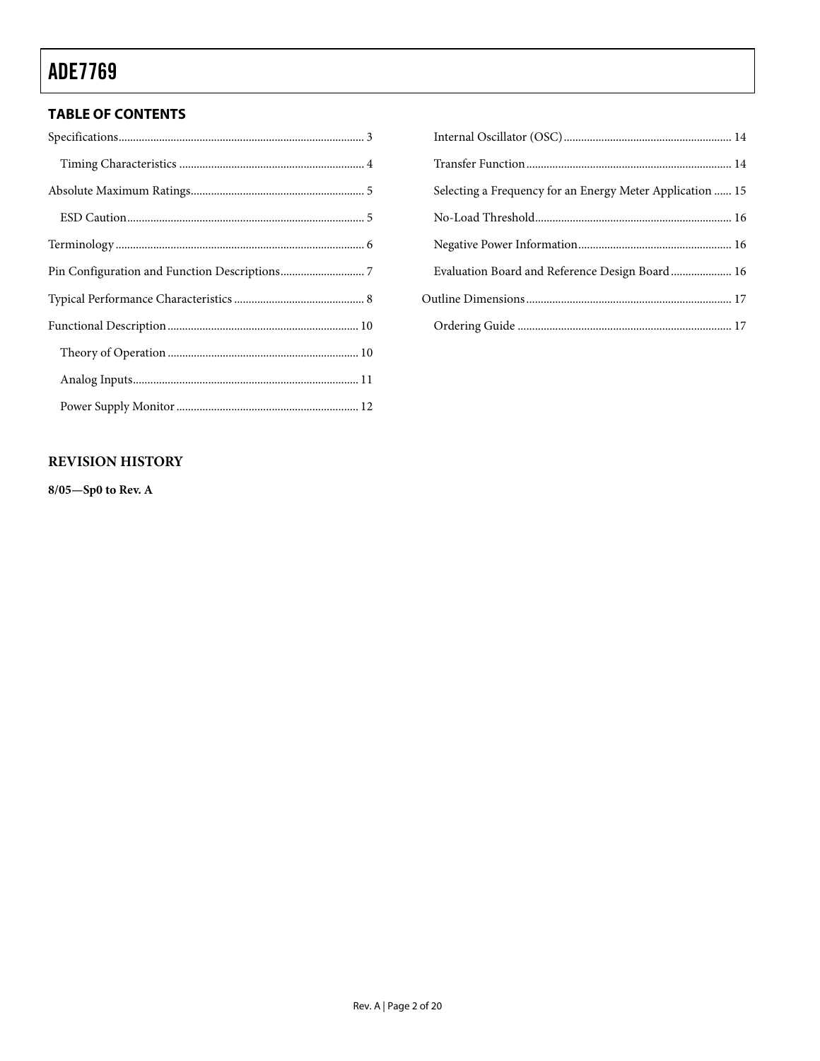### **TABLE OF CONTENTS**

| Selecting a Frequency for an Energy Meter Application  15 |  |
|-----------------------------------------------------------|--|
|                                                           |  |
|                                                           |  |
| Evaluation Board and Reference Design Board 16            |  |
|                                                           |  |
|                                                           |  |

### **REVISION HISTORY**

**8/05—Sp0 to Rev. A**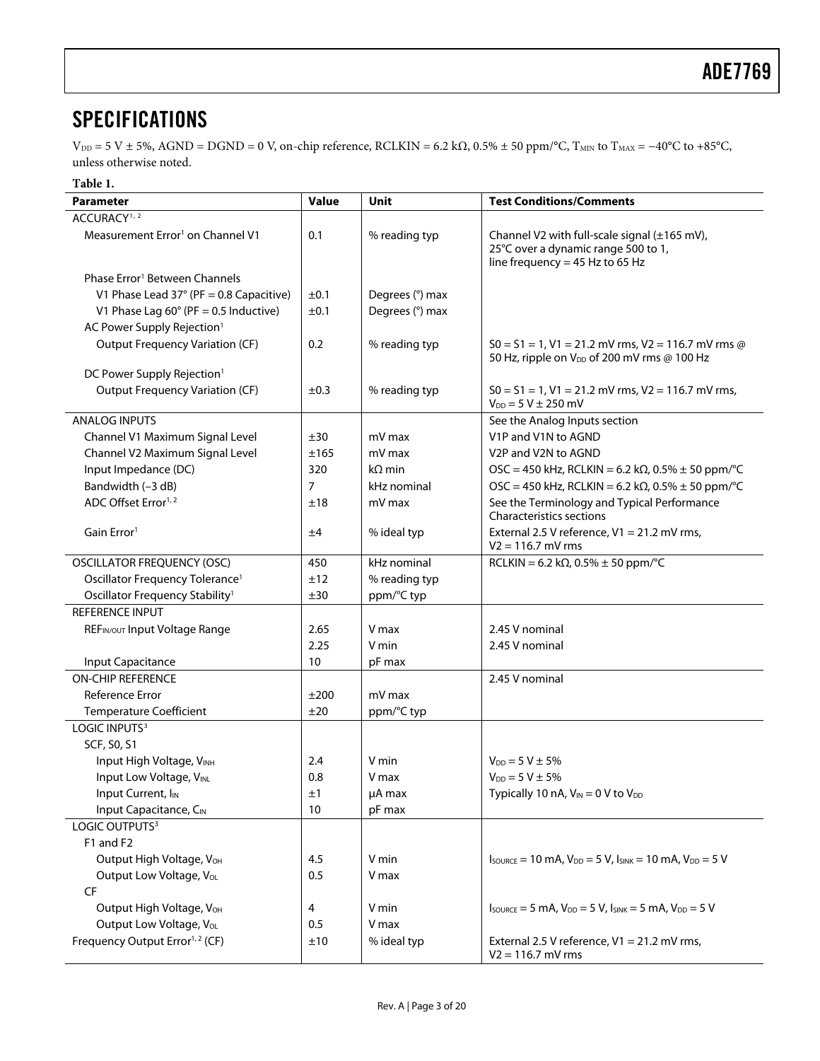## <span id="page-2-3"></span><span id="page-2-0"></span>**SPECIFICATIONS**

 $V_{DD} = 5 V \pm 5\%$ , AGND = DGND = 0 V, on-chip reference, RCLKIN = 6.2 k $\Omega$ , 0.5%  $\pm$  50 ppm/°C, T<sub>MIN</sub> to T<sub>MAX</sub> = -40°C to +85°C, unless otherwise noted.

#### **Table 1.**

<span id="page-2-2"></span><span id="page-2-1"></span>

| <b>Parameter</b>                                                      | Value      | Unit                 | <b>Test Conditions/Comments</b>                                                                                                         |
|-----------------------------------------------------------------------|------------|----------------------|-----------------------------------------------------------------------------------------------------------------------------------------|
| ACCURACY <sup>1,2</sup>                                               |            |                      |                                                                                                                                         |
| Measurement Error <sup>1</sup> on Channel V1                          | 0.1        | % reading typ        | Channel V2 with full-scale signal (±165 mV),<br>25°C over a dynamic range 500 to 1,<br>line frequency = $45$ Hz to 65 Hz                |
| Phase Error <sup>1</sup> Between Channels                             |            |                      |                                                                                                                                         |
| V1 Phase Lead $37^{\circ}$ (PF = 0.8 Capacitive)                      | ±0.1       | Degrees (°) max      |                                                                                                                                         |
| V1 Phase Lag $60^\circ$ (PF = 0.5 Inductive)                          | ±0.1       | Degrees (°) max      |                                                                                                                                         |
| AC Power Supply Rejection <sup>1</sup>                                |            |                      |                                                                                                                                         |
| <b>Output Frequency Variation (CF)</b>                                | 0.2        | % reading typ        | $S0 = S1 = 1$ , V1 = 21.2 mV rms, V2 = 116.7 mV rms @<br>50 Hz, ripple on V <sub>DD</sub> of 200 mV rms @ 100 Hz                        |
| DC Power Supply Rejection <sup>1</sup>                                |            |                      |                                                                                                                                         |
| <b>Output Frequency Variation (CF)</b>                                | $\pm 0.3$  | % reading typ        | $S0 = S1 = 1$ , V1 = 21.2 mV rms, V2 = 116.7 mV rms,<br>$V_{DD} = 5 V \pm 250$ mV                                                       |
| <b>ANALOG INPUTS</b>                                                  |            |                      | See the Analog Inputs section                                                                                                           |
| Channel V1 Maximum Signal Level                                       | ±30        | mV max               | V1P and V1N to AGND                                                                                                                     |
| Channel V2 Maximum Signal Level                                       | ±165       | mV max               | V <sub>2</sub> P and V <sub>2N</sub> to AGND                                                                                            |
| Input Impedance (DC)                                                  | 320        | $k\Omega$ min        | OSC = 450 kHz, RCLKIN = 6.2 kΩ, 0.5% $\pm$ 50 ppm/°C                                                                                    |
| Bandwidth (-3 dB)                                                     | 7          | kHz nominal          | OSC = 450 kHz, RCLKIN = 6.2 kΩ, 0.5% $\pm$ 50 ppm/°C                                                                                    |
| ADC Offset Error <sup>1,2</sup>                                       | ±18        | mV max               | See the Terminology and Typical Performance<br><b>Characteristics sections</b>                                                          |
| Gain Error <sup>1</sup>                                               | ±4         | % ideal typ          | External 2.5 V reference, V1 = 21.2 mV rms,<br>$V2 = 116.7$ mV rms                                                                      |
| <b>OSCILLATOR FREQUENCY (OSC)</b>                                     | 450        | kHz nominal          | $RCLKIN = 6.2 k\Omega, 0.5\% \pm 50$ ppm/°C                                                                                             |
| Oscillator Frequency Tolerance <sup>1</sup>                           | ±12        | % reading typ        |                                                                                                                                         |
| Oscillator Frequency Stability <sup>1</sup>                           | ±30        | ppm/°C typ           |                                                                                                                                         |
| REFERENCE INPUT                                                       |            |                      |                                                                                                                                         |
| REFIN/OUT Input Voltage Range                                         | 2.65       | V max                | 2.45 V nominal                                                                                                                          |
|                                                                       | 2.25       | V min                | 2.45 V nominal                                                                                                                          |
| Input Capacitance                                                     | 10         | pF max               |                                                                                                                                         |
| <b>ON-CHIP REFERENCE</b>                                              |            |                      | 2.45 V nominal                                                                                                                          |
| <b>Reference Error</b>                                                | ±200       | mV max               |                                                                                                                                         |
| <b>Temperature Coefficient</b>                                        | ±20        | ppm/°C typ           |                                                                                                                                         |
| LOGIC INPUTS <sup>3</sup>                                             |            |                      |                                                                                                                                         |
| SCF, S0, S1                                                           |            |                      |                                                                                                                                         |
| Input High Voltage, VINH                                              | 2.4        | V min                | $V_{DD} = 5 V \pm 5\%$                                                                                                                  |
| Input Low Voltage, VINL                                               | 0.8        | V max                | $V_{DD} = 5 V \pm 5\%$                                                                                                                  |
| Input Current, I <sub>IN</sub>                                        | ±1         | µA max               | Typically 10 nA, $V_{IN} = 0$ V to $V_{DD}$                                                                                             |
| Input Capacitance, CIN                                                | 10         | pF max               |                                                                                                                                         |
| LOGIC OUTPUTS <sup>3</sup>                                            |            |                      |                                                                                                                                         |
| F1 and F2                                                             |            |                      |                                                                                                                                         |
| Output High Voltage, VOH                                              | 4.5        | V min                | $I_{\text{SOWRCE}} = 10 \text{ mA}$ , $V_{\text{DD}} = 5 \text{ V}$ , $I_{\text{SINK}} = 10 \text{ mA}$ , $V_{\text{DD}} = 5 \text{ V}$ |
| Output Low Voltage, VoL                                               | 0.5        | V max                |                                                                                                                                         |
| CF                                                                    |            |                      |                                                                                                                                         |
| Output High Voltage, VOH                                              | 4          | V min                | $I_{\text{SOWRCE}} = 5 \text{ mA}$ , $V_{\text{DD}} = 5 \text{ V}$ , $I_{\text{SINK}} = 5 \text{ mA}$ , $V_{\text{DD}} = 5 \text{ V}$   |
| Output Low Voltage, VOL<br>Frequency Output Error <sup>1,2</sup> (CF) | 0.5<br>±10 | V max<br>% ideal typ | External 2.5 V reference, V1 = 21.2 mV rms,                                                                                             |
|                                                                       |            |                      | $V2 = 116.7$ mV rms                                                                                                                     |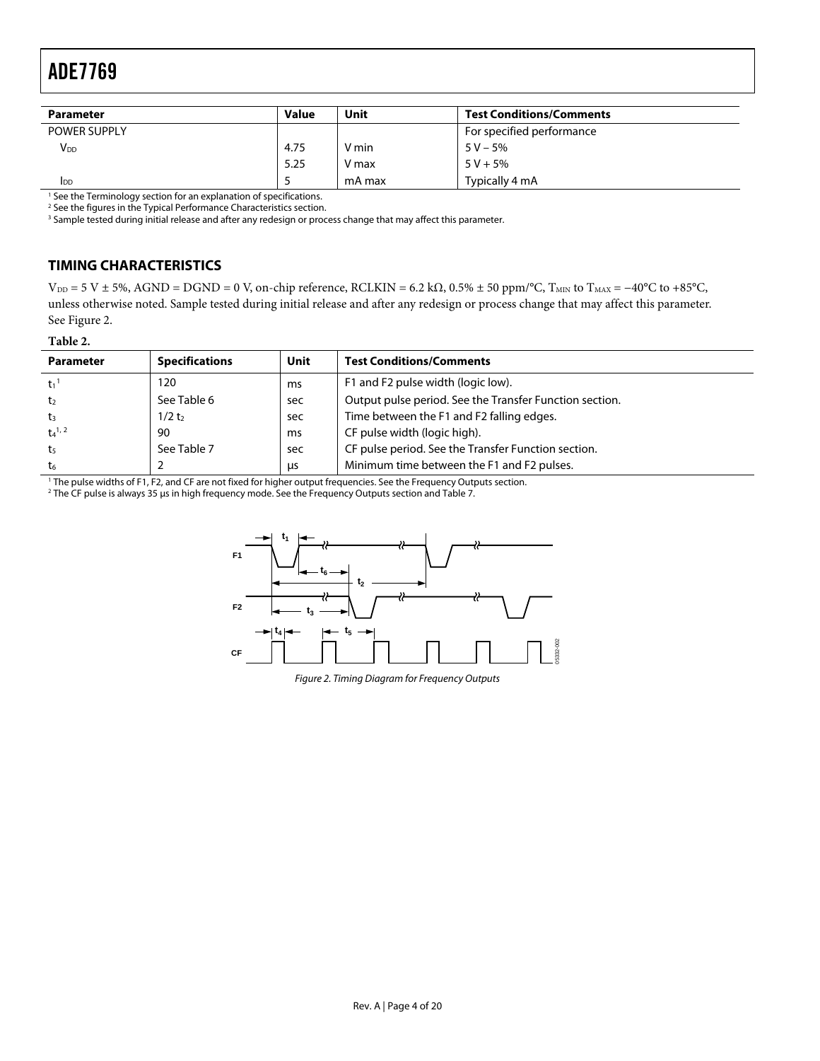<span id="page-3-0"></span>

| <b>Parameter</b>    | <b>Value</b> | Unit   | <b>Test Conditions/Comments</b> |
|---------------------|--------------|--------|---------------------------------|
| <b>POWER SUPPLY</b> |              |        | For specified performance       |
| V <sub>DD</sub>     | 4.75         | V min  | $5 V - 5%$                      |
|                     | 5.25         | V max  | $5 V + 5%$                      |
| <b>I</b> DD         |              | mA max | Typically 4 mA                  |

<sup>1</sup> See the Terminology section for an explanation of specifications.<br><sup>2</sup> See the figures in the Typical Performance Characteristics section

<sup>2</sup> See the figures in the Typical Performance Characteristics section.

<sup>3</sup> Sample tested during initial release and after any redesign or process change that may affect this parameter.

### **TIMING CHARACTERISTICS**

 $V_{DD} = 5 V \pm 5\%$ , AGND = DGND = 0 V, on-chip reference, RCLKIN = 6.2 k $\Omega$ , 0.5%  $\pm$  50 ppm/°C, T<sub>MIN</sub> to T<sub>MAX</sub> = -40°C to +85°C, unless otherwise noted. Sample tested during initial release and after any redesign or process change that may affect this parameter. See [Figure 2.](#page-3-1)

#### **Table 2.**

<span id="page-3-2"></span>

| <b>Parameter</b>      | <b>Specifications</b> | Unit | <b>Test Conditions/Comments</b>                         |
|-----------------------|-----------------------|------|---------------------------------------------------------|
| $t_1$ <sup>1</sup>    | 120                   | ms   | F1 and F2 pulse width (logic low).                      |
| t <sub>2</sub>        | See Table 6           | sec  | Output pulse period. See the Transfer Function section. |
| $t_3$                 | 1/2t <sub>2</sub>     | sec  | Time between the F1 and F2 falling edges.               |
| $t_4$ <sup>1, 2</sup> | 90                    | ms   | CF pulse width (logic high).                            |
| t5                    | See Table 7           | sec  | CF pulse period. See the Transfer Function section.     |
| t <sub>6</sub>        |                       | μs   | Minimum time between the F1 and F2 pulses.              |

<sup>1</sup> The pulse widths of F1, F2, and CF are not fixed for higher output frequencies. See the Frequency Outputs section.<br><sup>2</sup> The CF pulse is always 35 us in high frequency mode. See the Frequency Outputs section and Table 7.

<span id="page-3-1"></span>The CF pulse is always 35 μs in high frequency mode. See the Frequency Outputs section and Table 7.



Figure 2. Timing Diagram for Frequency Outputs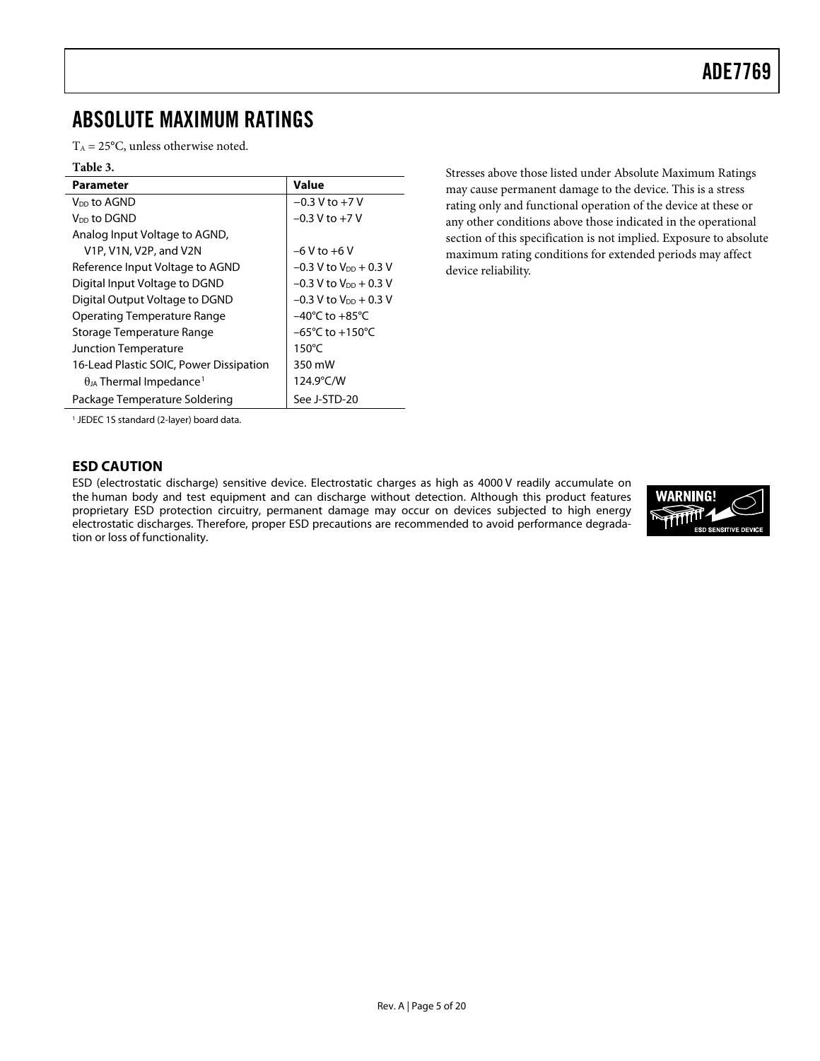## <span id="page-4-0"></span>ABSOLUTE MAXIMUM RATINGS

 $T_A = 25$ °C, unless otherwise noted.

#### **Table 3.**

| Parameter                                    | Value                               |
|----------------------------------------------|-------------------------------------|
| V <sub>DD</sub> to AGND                      | $-0.3$ V to $+7$ V                  |
| V <sub>DD</sub> to DGND                      | $-0.3$ V to $+7$ V                  |
| Analog Input Voltage to AGND,                |                                     |
| V1P, V1N, V2P, and V2N                       | $-6$ V to $+6$ V                    |
| Reference Input Voltage to AGND              | $-0.3$ V to $V_{DD}$ + 0.3 V        |
| Digital Input Voltage to DGND                | $-0.3$ V to $V_{DD}$ + 0.3 V        |
| Digital Output Voltage to DGND               | $-0.3$ V to $V_{DD}$ + 0.3 V        |
| Operating Temperature Range                  | $-40^{\circ}$ C to $+85^{\circ}$ C  |
| Storage Temperature Range                    | $-65^{\circ}$ C to $+150^{\circ}$ C |
| Junction Temperature                         | $150^{\circ}$ C                     |
| 16-Lead Plastic SOIC, Power Dissipation      | 350 mW                              |
| $\theta_{JA}$ Thermal Impedance <sup>1</sup> | 124.9°C/W                           |
| Package Temperature Soldering                | See J-STD-20                        |

may cause permanent damage to the device. This is a stress rating only and functional operation of the device at these or any other conditions above those indicated in the operational section of this specification is not implied. Exposure to absolute maximum rating conditions for extended periods may affect device reliability.

Stresses above those listed under Absolute Maximum Ratings

<span id="page-4-1"></span>1 JEDEC 1S standard (2-layer) board data.

### **ESD CAUTION**

ESD (electrostatic discharge) sensitive device. Electrostatic charges as high as 4000 V readily accumulate on the human body and test equipment and can discharge without detection. Although this product features proprietary ESD protection circuitry, permanent damage may occur on devices subjected to high energy electrostatic discharges. Therefore, proper ESD precautions are recommended to avoid performance degradation or loss of functionality.

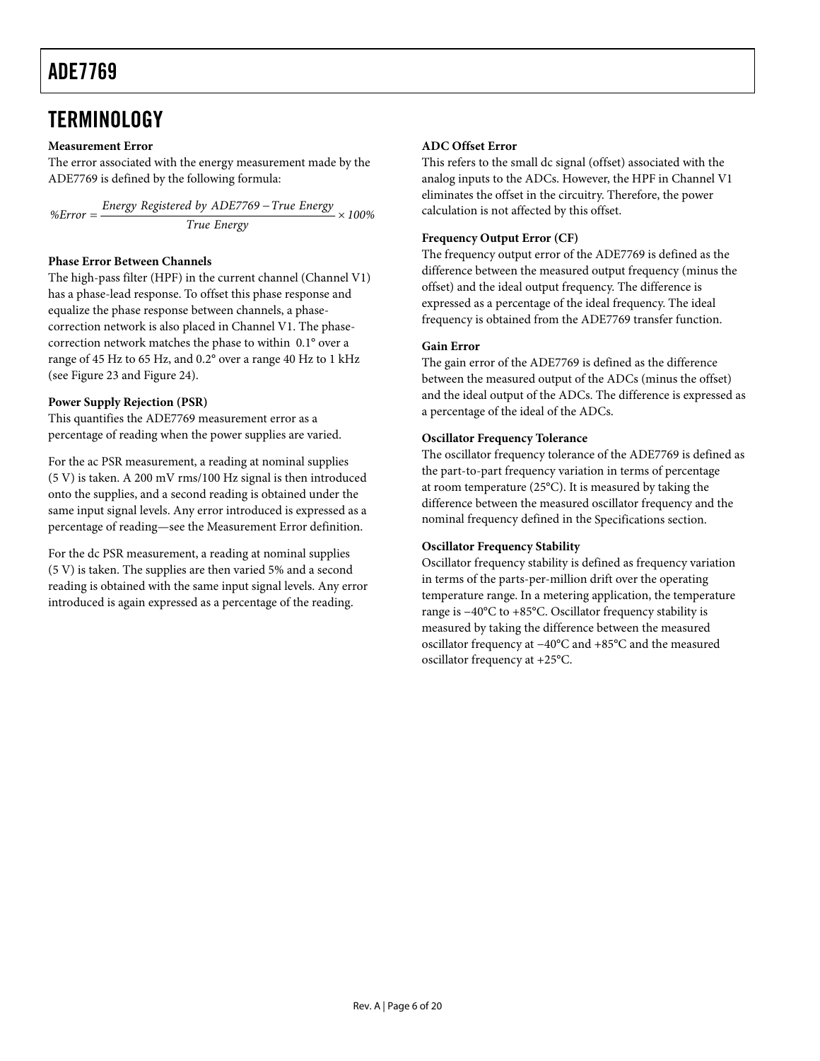## <span id="page-5-1"></span><span id="page-5-0"></span>**TERMINOLOGY**

#### **Measurement Error**

The error associated with the energy measurement made by the ADE7769 is defined by the following formula:

 $\%$  *Energy* Registered by *ADE7769* – True *Energy*  $\times$  100% *True Energy* 

#### **Phase Error Between Channels**

The high-pass filter (HPF) in the current channel (Channel V1) has a phase-lead response. To offset this phase response and equalize the phase response between channels, a phasecorrection network is also placed in Channel V1. The phasecorrection network matches the phase to within 0.1° over a range of 45 Hz to 65 Hz, and 0.2° over a range 40 Hz to 1 kHz (see [Figure 23](#page-11-1) and [Figure 24\)](#page-12-0).

#### **Power Supply Rejection (PSR)**

This quantifies the ADE7769 measurement error as a percentage of reading when the power supplies are varied.

For the ac PSR measurement, a reading at nominal supplies (5 V) is taken. A 200 mV rms/100 Hz signal is then introduced onto the supplies, and a second reading is obtained under the same input signal levels. Any error introduced is expressed as a percentage of reading—see the Measurement Error definition.

For the dc PSR measurement, a reading at nominal supplies (5 V) is taken. The supplies are then varied 5% and a second reading is obtained with the same input signal levels. Any error introduced is again expressed as a percentage of the reading.

#### **ADC Offset Error**

This refers to the small dc signal (offset) associated with the analog inputs to the ADCs. However, the HPF in Channel V1 eliminates the offset in the circuitry. Therefore, the power calculation is not affected by this offset.

### **Frequency Output Error (CF)**

The frequency output error of the ADE7769 is defined as the difference between the measured output frequency (minus the offset) and the ideal output frequency. The difference is expressed as a percentage of the ideal frequency. The ideal frequency is obtained from the ADE7769 transfer function.

#### **Gain Error**

The gain error of the ADE7769 is defined as the difference between the measured output of the ADCs (minus the offset) and the ideal output of the ADCs. The difference is expressed as a percentage of the ideal of the ADCs.

#### **Oscillator Frequency Tolerance**

The oscillator frequency tolerance of the ADE7769 is defined as the part-to-part frequency variation in terms of percentage at room temperature (25°C). It is measured by taking the difference between the measured oscillator frequency and the nominal frequency defined in the [Specifications](#page-2-3) section.

#### **Oscillator Frequency Stability**

Oscillator frequency stability is defined as frequency variation in terms of the parts-per-million drift over the operating temperature range. In a metering application, the temperature range is −40°C to +85°C. Oscillator frequency stability is measured by taking the difference between the measured oscillator frequency at −40°C and +85°C and the measured oscillator frequency at +25°C.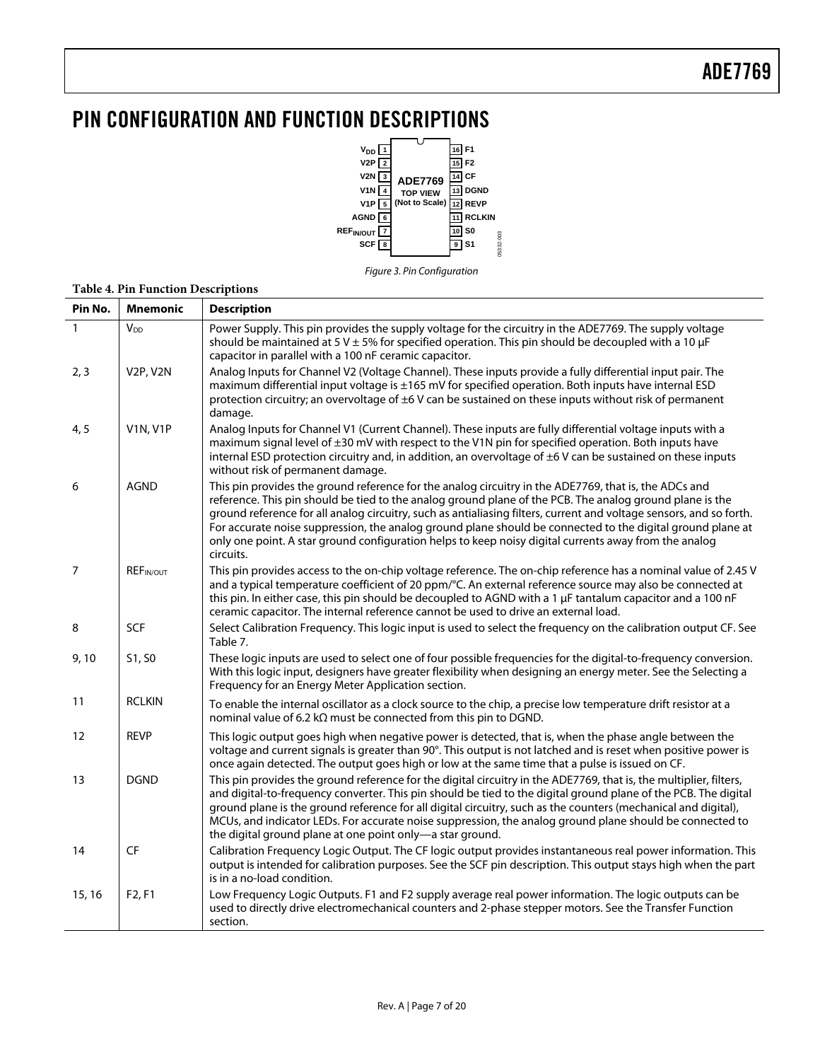## <span id="page-6-0"></span>PIN CONFIGURATION AND FUNCTION DESCRIPTIONS



Figure 3. Pin Configuration

| Pin No.           | <b>Mnemonic</b>  | <b>Description</b>                                                                                                                                                                                                                                                                                                                                                                                                                                                                                                                                                           |
|-------------------|------------------|------------------------------------------------------------------------------------------------------------------------------------------------------------------------------------------------------------------------------------------------------------------------------------------------------------------------------------------------------------------------------------------------------------------------------------------------------------------------------------------------------------------------------------------------------------------------------|
| $\mathbf{1}$      | V <sub>DD</sub>  | Power Supply. This pin provides the supply voltage for the circuitry in the ADE7769. The supply voltage<br>should be maintained at 5 V $\pm$ 5% for specified operation. This pin should be decoupled with a 10 µF<br>capacitor in parallel with a 100 nF ceramic capacitor.                                                                                                                                                                                                                                                                                                 |
| 2, 3              | <b>V2P, V2N</b>  | Analog Inputs for Channel V2 (Voltage Channel). These inputs provide a fully differential input pair. The<br>maximum differential input voltage is ±165 mV for specified operation. Both inputs have internal ESD<br>protection circuitry; an overvoltage of ±6 V can be sustained on these inputs without risk of permanent<br>damage.                                                                                                                                                                                                                                      |
| 4, 5              | <b>V1N, V1P</b>  | Analog Inputs for Channel V1 (Current Channel). These inputs are fully differential voltage inputs with a<br>maximum signal level of ±30 mV with respect to the V1N pin for specified operation. Both inputs have<br>internal ESD protection circuitry and, in addition, an overvoltage of ±6 V can be sustained on these inputs<br>without risk of permanent damage.                                                                                                                                                                                                        |
| 6                 | <b>AGND</b>      | This pin provides the ground reference for the analog circuitry in the ADE7769, that is, the ADCs and<br>reference. This pin should be tied to the analog ground plane of the PCB. The analog ground plane is the<br>ground reference for all analog circuitry, such as antialiasing filters, current and voltage sensors, and so forth.<br>For accurate noise suppression, the analog ground plane should be connected to the digital ground plane at<br>only one point. A star ground configuration helps to keep noisy digital currents away from the analog<br>circuits. |
| $\overline{7}$    | <b>REFIN/OUT</b> | This pin provides access to the on-chip voltage reference. The on-chip reference has a nominal value of 2.45 V<br>and a typical temperature coefficient of 20 ppm/°C. An external reference source may also be connected at<br>this pin. In either case, this pin should be decoupled to AGND with a 1 µF tantalum capacitor and a 100 nF<br>ceramic capacitor. The internal reference cannot be used to drive an external load.                                                                                                                                             |
| 8                 | SCF              | Select Calibration Frequency. This logic input is used to select the frequency on the calibration output CF. See<br>Table 7.                                                                                                                                                                                                                                                                                                                                                                                                                                                 |
| 9,10              | S1, S0           | These logic inputs are used to select one of four possible frequencies for the digital-to-frequency conversion.<br>With this logic input, designers have greater flexibility when designing an energy meter. See the Selecting a<br>Frequency for an Energy Meter Application section.                                                                                                                                                                                                                                                                                       |
| 11                | <b>RCLKIN</b>    | To enable the internal oscillator as a clock source to the chip, a precise low temperature drift resistor at a<br>nominal value of 6.2 k $\Omega$ must be connected from this pin to DGND.                                                                                                                                                                                                                                                                                                                                                                                   |
| $12 \overline{ }$ | <b>REVP</b>      | This logic output goes high when negative power is detected, that is, when the phase angle between the<br>voltage and current signals is greater than 90°. This output is not latched and is reset when positive power is<br>once again detected. The output goes high or low at the same time that a pulse is issued on CF.                                                                                                                                                                                                                                                 |
| 13                | <b>DGND</b>      | This pin provides the ground reference for the digital circuitry in the ADE7769, that is, the multiplier, filters,<br>and digital-to-frequency converter. This pin should be tied to the digital ground plane of the PCB. The digital<br>ground plane is the ground reference for all digital circuitry, such as the counters (mechanical and digital),<br>MCUs, and indicator LEDs. For accurate noise suppression, the analog ground plane should be connected to<br>the digital ground plane at one point only-a star ground.                                             |
| 14                | CF               | Calibration Frequency Logic Output. The CF logic output provides instantaneous real power information. This<br>output is intended for calibration purposes. See the SCF pin description. This output stays high when the part<br>is in a no-load condition.                                                                                                                                                                                                                                                                                                                  |
| 15, 16            | F2, F1           | Low Frequency Logic Outputs. F1 and F2 supply average real power information. The logic outputs can be<br>used to directly drive electromechanical counters and 2-phase stepper motors. See the Transfer Function<br>section.                                                                                                                                                                                                                                                                                                                                                |

#### **Table 4. Pin Function Descriptions**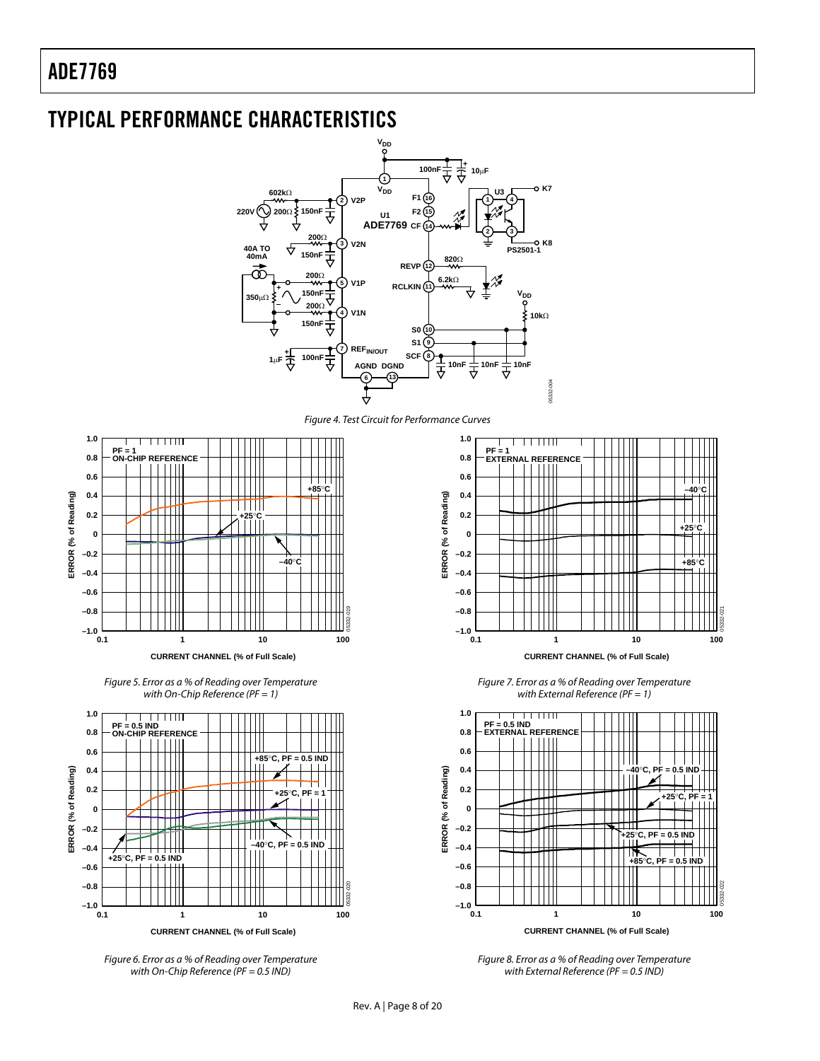<span id="page-7-1"></span><span id="page-7-0"></span>

05332-021

05332-022

**+25**°**C**

**–40**°**C**

**+85**°**C**

with External Reference ( $PF = 0.5$  IND)

with On-Chip Reference (PF = 0.5 IND)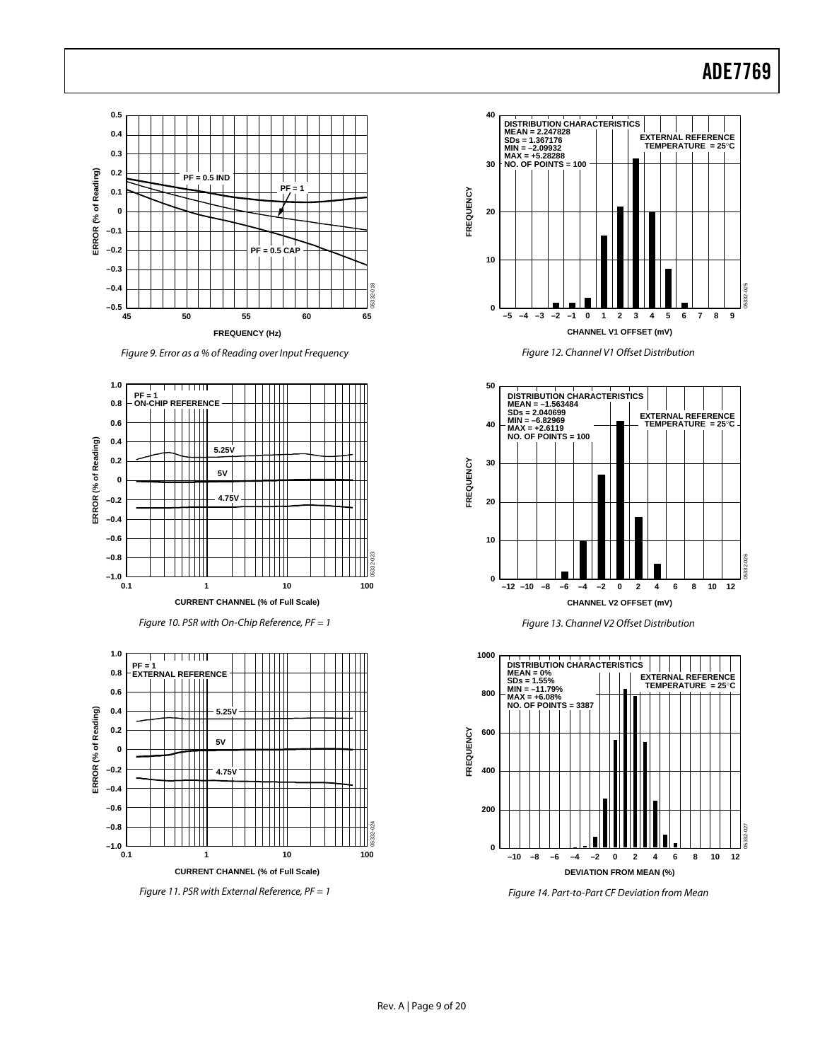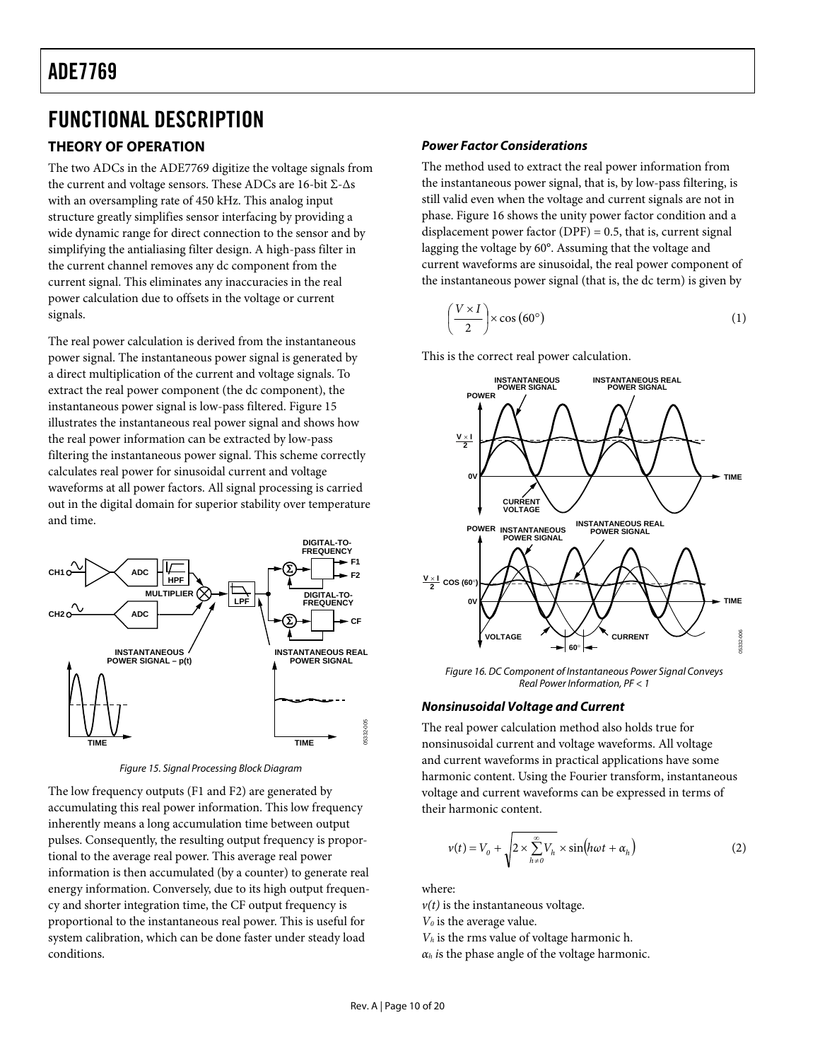## <span id="page-9-0"></span>FUNCTIONAL DESCRIPTION

### **THEORY OF OPERATION**

The two ADCs in the ADE7769 digitize the voltage signals from the current and voltage sensors. These ADCs are 16-bit Σ-Δs with an oversampling rate of 450 kHz. This analog input structure greatly simplifies sensor interfacing by providing a wide dynamic range for direct connection to the sensor and by simplifying the antialiasing filter design. A high-pass filter in the current channel removes any dc component from the current signal. This eliminates any inaccuracies in the real power calculation due to offsets in the voltage or current signals.

The real power calculation is derived from the instantaneous power signal. The instantaneous power signal is generated by a direct multiplication of the current and voltage signals. To extract the real power component (the dc component), the instantaneous power signal is low-pass filtered. [Figure 15](#page-9-1) illustrates the instantaneous real power signal and shows how the real power information can be extracted by low-pass filtering the instantaneous power signal. This scheme correctly calculates real power for sinusoidal current and voltage waveforms at all power factors. All signal processing is carried out in the digital domain for superior stability over temperature and time.



Figure 15. Signal Processing Block Diagram

<span id="page-9-2"></span><span id="page-9-1"></span>The low frequency outputs (F1 and F2) are generated by accumulating this real power information. This low frequency inherently means a long accumulation time between output pulses. Consequently, the resulting output frequency is proportional to the average real power. This average real power information is then accumulated (by a counter) to generate real energy information. Conversely, due to its high output frequency and shorter integration time, the CF output frequency is proportional to the instantaneous real power. This is useful for system calibration, which can be done faster under steady load conditions.

### **Power Factor Considerations**

The method used to extract the real power information from the instantaneous power signal, that is, by low-pass filtering, is still valid even when the voltage and current signals are not in phase. [Figure 16](#page-9-2) shows the unity power factor condition and a displacement power factor  $(DPF) = 0.5$ , that is, current signal lagging the voltage by 60°. Assuming that the voltage and current waveforms are sinusoidal, the real power component of the instantaneous power signal (that is, the dc term) is given by

$$
\left(\frac{V \times I}{2}\right) \times \cos\left(60^{\circ}\right) \tag{1}
$$

This is the correct real power calculation.



Figure 16. DC Component of Instantaneous Power Signal Conveys Real Power Information, PF < 1

### **Nonsinusoidal Voltage and Current**

The real power calculation method also holds true for nonsinusoidal current and voltage waveforms. All voltage and current waveforms in practical applications have some harmonic content. Using the Fourier transform, instantaneous voltage and current waveforms can be expressed in terms of their harmonic content.

$$
v(t) = V_0 + \sqrt{2 \times \sum_{h=0}^{\infty} V_h} \times \sin(h\omega t + \alpha_h)
$$
 (2)

where:

 $v(t)$  is the instantaneous voltage.

*V0* is the average value.

*Vh* is the rms value of voltage harmonic h.

 $\alpha_h$  *is* the phase angle of the voltage harmonic.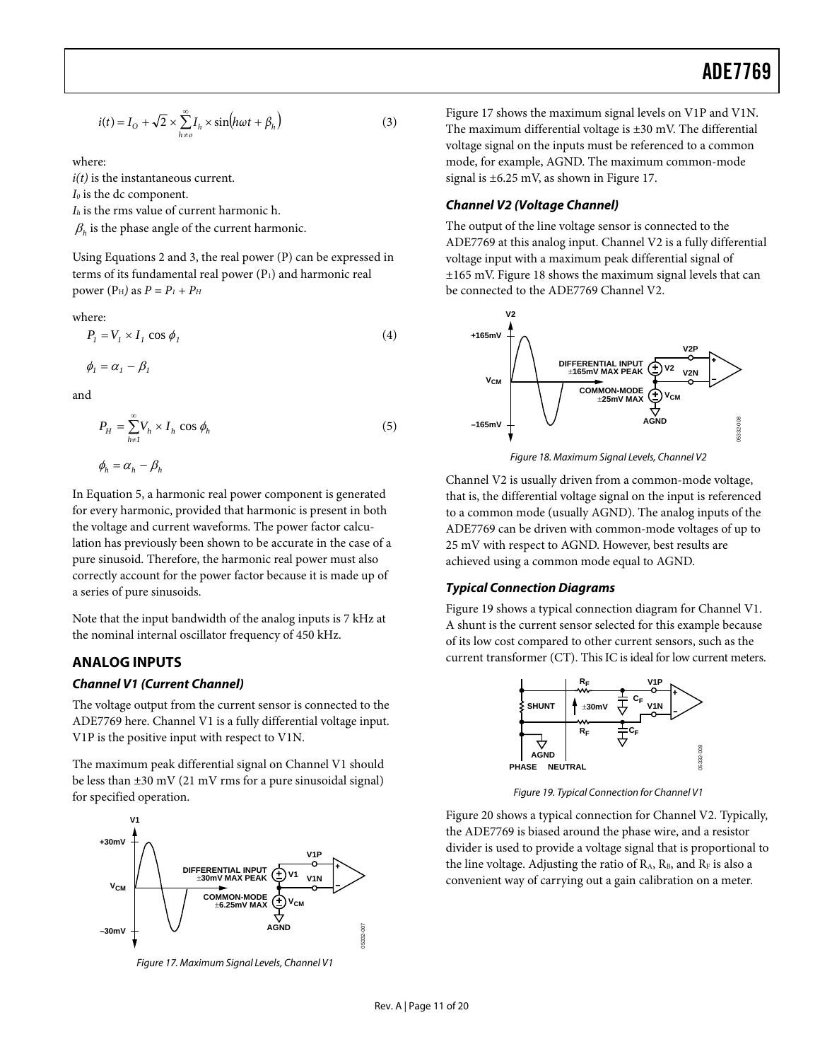<span id="page-10-0"></span>
$$
i(t) = I_0 + \sqrt{2} \times \sum_{h \neq 0}^{\infty} I_h \times \sin(h\omega t + \beta_h)
$$
 (3)

where:

*i(t)* is the instantaneous current.

*I*<sup>0</sup> is the dc component.

*Ih* is the rms value of current harmonic h.

 $\beta_h$  is the phase angle of the current harmonic.

Using Equations 2 and 3, the real power (P) can be expressed in terms of its fundamental real power  $(P_1)$  and harmonic real power ( $P_H$ ) as  $P = P_1 + P_H$ 

where:

$$
P_1 = V_1 \times I_1 \cos \phi_1 \tag{4}
$$

$$
\phi_I = \alpha_I - \beta_I
$$

and

$$
P_H = \sum_{h \neq I}^{\infty} V_h \times I_h \cos \phi_h \tag{5}
$$

$$
\phi_h = \alpha_h - \beta_h
$$

<span id="page-10-3"></span>In Equation 5, a harmonic real power component is generated for every harmonic, provided that harmonic is present in both the voltage and current waveforms. The power factor calculation has previously been shown to be accurate in the case of a pure sinusoid. Therefore, the harmonic real power must also correctly account for the power factor because it is made up of a series of pure sinusoids.

Note that the input bandwidth of the analog inputs is 7 kHz at the nominal internal oscillator frequency of 450 kHz.

### <span id="page-10-1"></span>**ANALOG INPUTS**

#### **Channel V1 (Current Channel)**

The voltage output from the current sensor is connected to the ADE7769 here. Channel V1 is a fully differential voltage input. V1P is the positive input with respect to V1N.

<span id="page-10-4"></span>The maximum peak differential signal on Channel V1 should be less than ±30 mV (21 mV rms for a pure sinusoidal signal) for specified operation.



<span id="page-10-2"></span>Figure 17. Maximum Signal Levels, Channel V1

[Figure 17](#page-10-2) shows the maximum signal levels on V1P and V1N. The maximum differential voltage is ±30 mV. The differential voltage signal on the inputs must be referenced to a common mode, for example, AGND. The maximum common-mode signal is ±6.25 mV, as shown in [Figure 17.](#page-10-2)

#### **Channel V2 (Voltage Channel)**

The output of the line voltage sensor is connected to the ADE7769 at this analog input. Channel V2 is a fully differential voltage input with a maximum peak differential signal of ±165 mV. [Figure 18](#page-10-3) shows the maximum signal levels that can be connected to the ADE7769 Channel V2.



Figure 18. Maximum Signal Levels, Channel V2

Channel V2 is usually driven from a common-mode voltage, that is, the differential voltage signal on the input is referenced to a common mode (usually AGND). The analog inputs of the ADE7769 can be driven with common-mode voltages of up to 25 mV with respect to AGND. However, best results are achieved using a common mode equal to AGND.

#### **Typical Connection Diagrams**

[Figure 19](#page-10-4) shows a typical connection diagram for Channel V1. A shunt is the current sensor selected for this example because of its low cost compared to other current sensors, such as the current transformer (CT). This IC is ideal for low current meters.



Figure 19. Typical Connection for Channel V1

[Figure 20](#page-11-2) shows a typical connection for Channel V2. Typically, the ADE7769 is biased around the phase wire, and a resistor divider is used to provide a voltage signal that is proportional to the line voltage. Adjusting the ratio of  $R_A$ ,  $R_B$ , and  $R_F$  is also a convenient way of carrying out a gain calibration on a meter.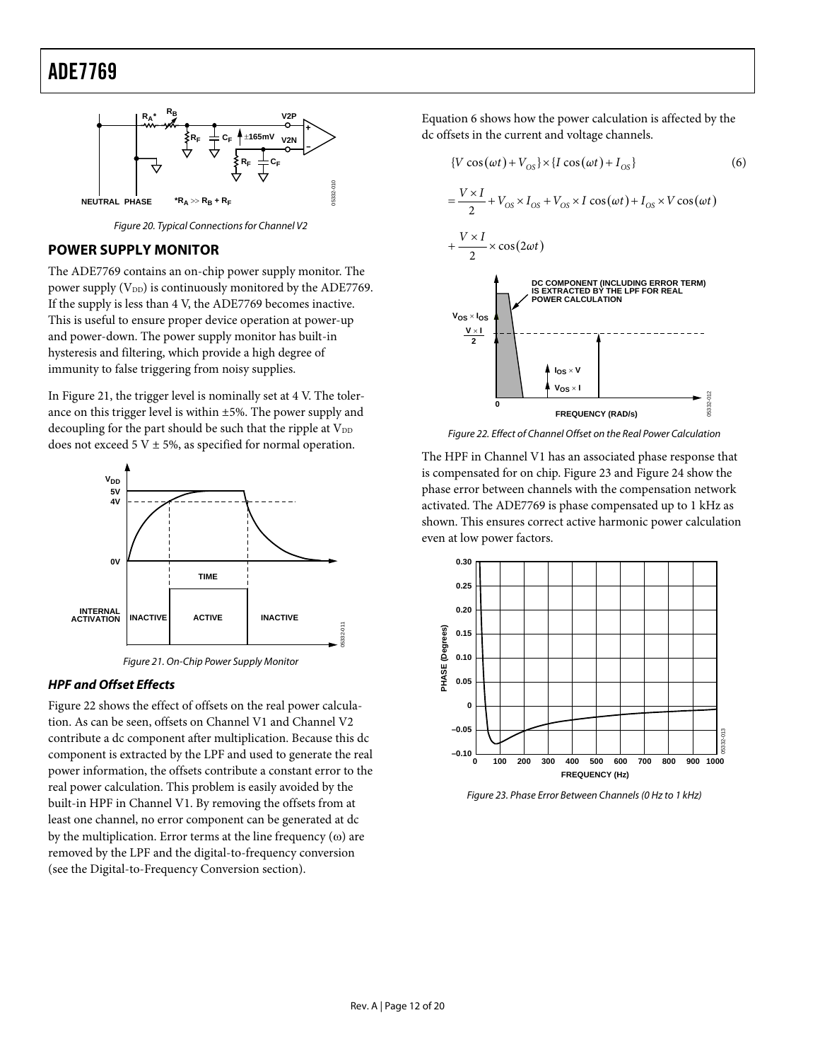<span id="page-11-0"></span>

Figure 20. Typical Connections for Channel V2

### <span id="page-11-2"></span>**POWER SUPPLY MONITOR**

The ADE7769 contains an on-chip power supply monitor. The power supply  $(V_{DD})$  is continuously monitored by the ADE7769. If the supply is less than 4 V, the ADE7769 becomes inactive. This is useful to ensure proper device operation at power-up and power-down. The power supply monitor has built-in hysteresis and filtering, which provide a high degree of immunity to false triggering from noisy supplies.

<span id="page-11-4"></span>In [Figure 21](#page-11-3), the trigger level is nominally set at 4 V. The tolerance on this trigger level is within ±5%. The power supply and decoupling for the part should be such that the ripple at  $V_{DD}$ does not exceed 5 V  $\pm$  5%, as specified for normal operation.



Figure 21. On-Chip Power Supply Monitor

#### <span id="page-11-3"></span>**HPF and Offset Effects**

<span id="page-11-1"></span>[Figure 22](#page-11-4) shows the effect of offsets on the real power calculation. As can be seen, offsets on Channel V1 and Channel V2 contribute a dc component after multiplication. Because this dc component is extracted by the LPF and used to generate the real power information, the offsets contribute a constant error to the real power calculation. This problem is easily avoided by the built-in HPF in Channel V1. By removing the offsets from at least one channel, no error component can be generated at dc by the multiplication. Error terms at the line frequency  $(\omega)$  are removed by the LPF and the digital-to-frequency conversion (see the [Digital-to-Frequency Conversion](#page-12-1) section).

Equation 6 shows how the power calculation is affected by the dc offsets in the current and voltage channels.



Figure 22. Effect of Channel Offset on the Real Power Calculation

The HPF in Channel V1 has an associated phase response that is compensated for on chip. [Figure 23](#page-11-1) and [Figure 24](#page-12-0) show the phase error between channels with the compensation network activated. The ADE7769 is phase compensated up to 1 kHz as shown. This ensures correct active harmonic power calculation even at low power factors.



Figure 23. Phase Error Between Channels (0 Hz to 1 kHz)

05332-011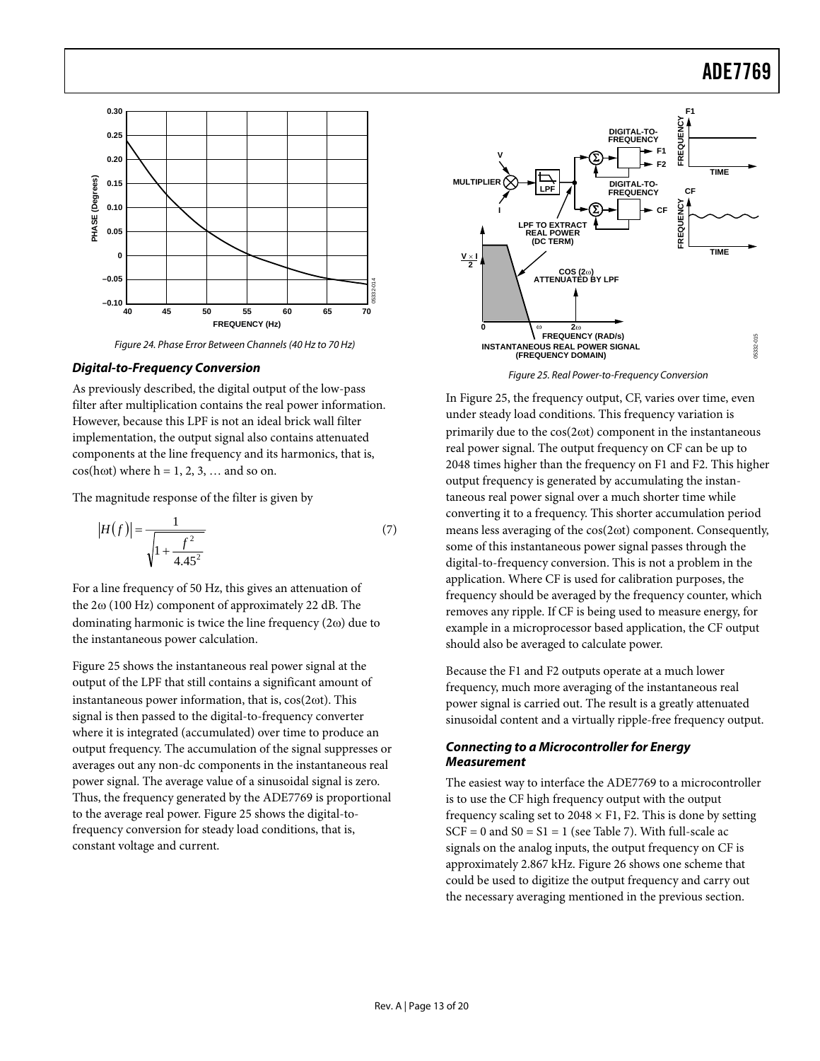

Figure 24. Phase Error Between Channels (40 Hz to 70 Hz)

#### <span id="page-12-2"></span><span id="page-12-1"></span><span id="page-12-0"></span>**Digital-to-Frequency Conversion**

As previously described, the digital output of the low-pass filter after multiplication contains the real power information. However, because this LPF is not an ideal brick wall filter implementation, the output signal also contains attenuated components at the line frequency and its harmonics, that is,  $cos(h\omega t)$  where  $h = 1, 2, 3, \dots$  and so on.

The magnitude response of the filter is given by

$$
|H(f)| = \frac{1}{\sqrt{1 + \frac{f^2}{4.45^2}}}
$$
 (7)

For a line frequency of 50 Hz, this gives an attenuation of the 2ω (100 Hz) component of approximately 22 dB. The dominating harmonic is twice the line frequency (2ω) due to the instantaneous power calculation.

[Figure 25](#page-12-2) shows the instantaneous real power signal at the output of the LPF that still contains a significant amount of instantaneous power information, that is, cos(2ωt). This signal is then passed to the digital-to-frequency converter where it is integrated (accumulated) over time to produce an output frequency. The accumulation of the signal suppresses or averages out any non-dc components in the instantaneous real power signal. The average value of a sinusoidal signal is zero. Thus, the frequency generated by the ADE7769 is proportional to the average real power. [Figure 25](#page-12-2) shows the digital-tofrequency conversion for steady load conditions, that is, constant voltage and current.



Figure 25. Real Power-to-Frequency Conversion

In [Figure 25](#page-12-2), the frequency output, CF, varies over time, even under steady load conditions. This frequency variation is primarily due to the cos(2ωt) component in the instantaneous real power signal. The output frequency on CF can be up to 2048 times higher than the frequency on F1 and F2. This higher output frequency is generated by accumulating the instantaneous real power signal over a much shorter time while converting it to a frequency. This shorter accumulation period means less averaging of the cos(2ωt) component. Consequently, some of this instantaneous power signal passes through the digital-to-frequency conversion. This is not a problem in the application. Where CF is used for calibration purposes, the frequency should be averaged by the frequency counter, which removes any ripple. If CF is being used to measure energy, for example in a microprocessor based application, the CF output should also be averaged to calculate power.

Because the F1 and F2 outputs operate at a much lower frequency, much more averaging of the instantaneous real power signal is carried out. The result is a greatly attenuated sinusoidal content and a virtually ripple-free frequency output.

#### **Connecting to a Microcontroller for Energy Measurement**

The easiest way to interface the ADE7769 to a microcontroller is to use the CF high frequency output with the output frequency scaling set to  $2048 \times F1$ , F2. This is done by setting  $SCF = 0$  and  $S0 = S1 = 1$  (see [Table 7](#page-14-2)). With full-scale ac signals on the analog inputs, the output frequency on CF is approximately 2.867 kHz. [Figure 26](#page-13-2) shows one scheme that could be used to digitize the output frequency and carry out the necessary averaging mentioned in the previous section.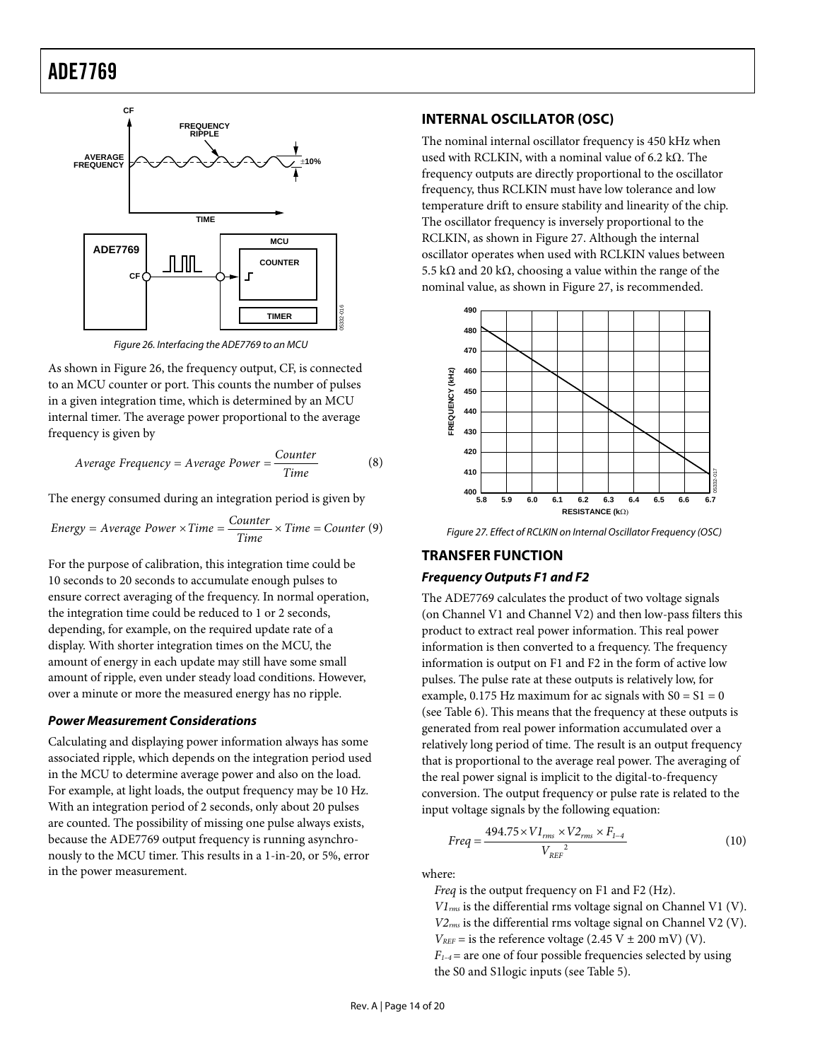<span id="page-13-0"></span>

Figure 26. Interfacing the ADE7769 to an MCU

<span id="page-13-2"></span>As shown in [Figure 26,](#page-13-2) the frequency output, CF, is connected to an MCU counter or port. This counts the number of pulses in a given integration time, which is determined by an MCU internal timer. The average power proportional to the average frequency is given by

$$
Average Frequency = Average Power = \frac{Counter}{Time}
$$
 (8)

The energy consumed during an integration period is given by

<span id="page-13-3"></span>Energy = Average Power × Time = 
$$
\frac{Counter}{Time} \times Time = Counter (9)
$$

<span id="page-13-1"></span>For the purpose of calibration, this integration time could be 10 seconds to 20 seconds to accumulate enough pulses to ensure correct averaging of the frequency. In normal operation, the integration time could be reduced to 1 or 2 seconds, depending, for example, on the required update rate of a display. With shorter integration times on the MCU, the amount of energy in each update may still have some small amount of ripple, even under steady load conditions. However, over a minute or more the measured energy has no ripple.

#### **Power Measurement Considerations**

Calculating and displaying power information always has some associated ripple, which depends on the integration period used in the MCU to determine average power and also on the load. For example, at light loads, the output frequency may be 10 Hz. With an integration period of 2 seconds, only about 20 pulses are counted. The possibility of missing one pulse always exists, because the ADE7769 output frequency is running asynchronously to the MCU timer. This results in a 1-in-20, or 5%, error in the power measurement.

#### **INTERNAL OSCILLATOR (OSC)**

The nominal internal oscillator frequency is 450 kHz when used with RCLKIN, with a nominal value of 6.2 kΩ. The frequency outputs are directly proportional to the oscillator frequency, thus RCLKIN must have low tolerance and low temperature drift to ensure stability and linearity of the chip. The oscillator frequency is inversely proportional to the RCLKIN, as shown in [Figure 27](#page-13-3). Although the internal oscillator operates when used with RCLKIN values between 5.5 kΩ and 20 kΩ, choosing a value within the range of the nominal value, as shown in [Figure 27,](#page-13-3) is recommended.



Figure 27. Effect of RCLKIN on Internal Oscillator Frequency (OSC)

#### **TRANSFER FUNCTION**

#### **Frequency Outputs F1 and F2**

The ADE7769 calculates the product of two voltage signals (on Channel V1 and Channel V2) and then low-pass filters this product to extract real power information. This real power information is then converted to a frequency. The frequency information is output on F1 and F2 in the form of active low pulses. The pulse rate at these outputs is relatively low, for example, 0.175 Hz maximum for ac signals with  $S0 = S1 = 0$ (see [Table 6](#page-14-1)). This means that the frequency at these outputs is generated from real power information accumulated over a relatively long period of time. The result is an output frequency that is proportional to the average real power. The averaging of the real power signal is implicit to the digital-to-frequency conversion. The output frequency or pulse rate is related to the input voltage signals by the following equation:

$$
Freq = \frac{494.75 \times VI_{rms} \times V2_{rms} \times F_{1-4}}{V_{REF}^{2}}
$$
 (10)

where:

*Freq* is the output frequency on F1 and F2 (Hz).

*V1rms* is the differential rms voltage signal on Channel V1 (V). *V2rms* is the differential rms voltage signal on Channel V2 (V).  $V_{REF}$  = is the reference voltage (2.45 V  $\pm$  200 mV) (V). *F1–4*= are one of four possible frequencies selected by using the S0 and S1logic inputs (see [Table 5](#page-14-2)).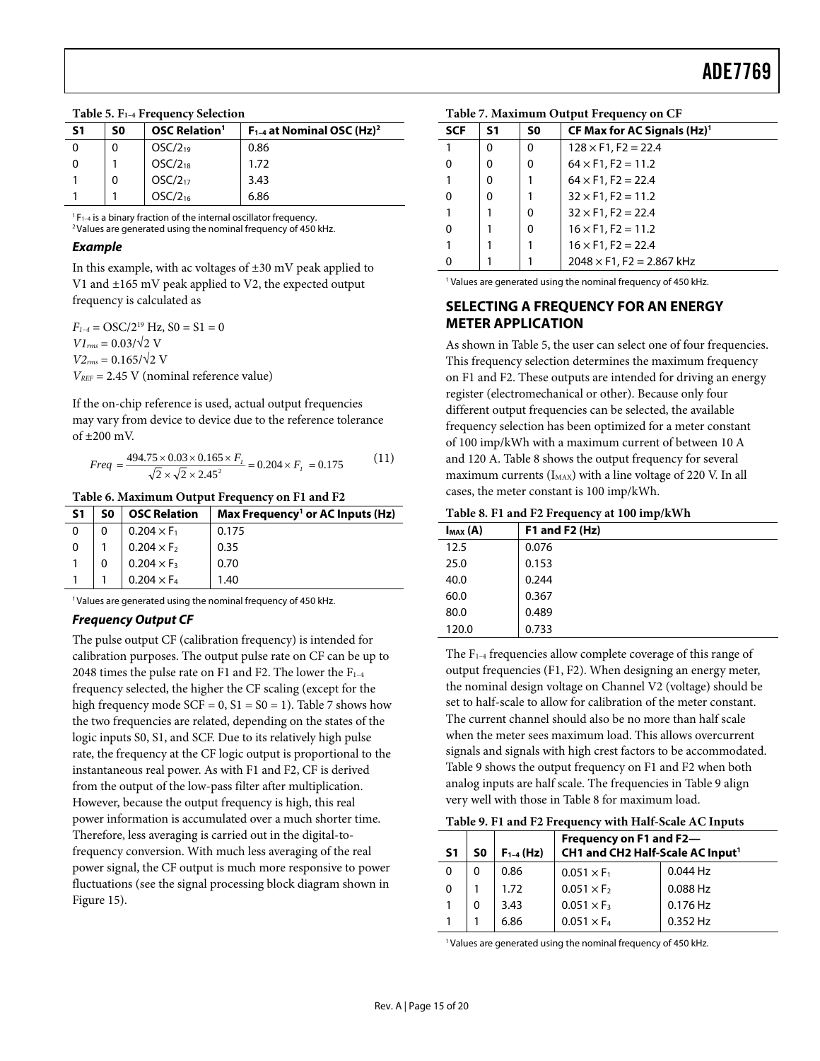<span id="page-14-0"></span>

|  |  |  |  |  | Table 5. F <sub>1-4</sub> Frequency Selection |
|--|--|--|--|--|-----------------------------------------------|
|--|--|--|--|--|-----------------------------------------------|

<span id="page-14-2"></span>

| S1 | S0 | <b>OSC Relation</b> <sup>1</sup> | $F_{1-4}$ at Nominal OSC (Hz) <sup>2</sup> |
|----|----|----------------------------------|--------------------------------------------|
|    |    | $OSC/2_{19}$                     | 0.86                                       |
|    |    | $OSC/2_{18}$                     | 1.72                                       |
|    | 0  | $OSC/2_{17}$                     | 3.43                                       |
|    |    | OSC/2 <sub>16</sub>              | 6.86                                       |

 ${}^{1}F_{1-4}$  is a binary fraction of the internal oscillator frequency.<br><sup>2</sup> Values are generated using the nominal frequency of 450 kHz.

#### **Example**

In this example, with ac voltages of  $\pm 30$  mV peak applied to V1 and ±165 mV peak applied to V2, the expected output frequency is calculated as

 $F_{1-4} = \text{OSC}/2^{19}$  Hz,  $S0 = S1 = 0$  $VI_{rms} = 0.03/\sqrt{2}$  V  $V2_{rms} = 0.165/\sqrt{2}$  V *VREF* = 2.45 V (nominal reference value)

If the on-chip reference is used, actual output frequencies may vary from device to device due to the reference tolerance of ±200 mV.

$$
Freq = \frac{494.75 \times 0.03 \times 0.165 \times F_t}{\sqrt{2} \times \sqrt{2} \times 2.45^2} = 0.204 \times F_t = 0.175
$$
 (11)

#### **Table 6. Maximum Output Frequency on F1 and F2**

<span id="page-14-3"></span><span id="page-14-1"></span>

| -S1      | S0 | <b>OSC Relation</b> | Max Frequency <sup>1</sup> or AC Inputs (Hz) |
|----------|----|---------------------|----------------------------------------------|
| $\Omega$ |    | $0.204 \times F_1$  | 0.175                                        |
| $\Omega$ |    | $0.204 \times F_2$  | 0.35                                         |
|          |    | $0.204 \times F_3$  | 0.70                                         |
|          |    | $0.204 \times F_4$  | 1.40                                         |

<sup>1</sup> Values are generated using the nominal frequency of 450 kHz.

#### **Frequency Output CF**

<span id="page-14-4"></span>The pulse output CF (calibration frequency) is intended for calibration purposes. The output pulse rate on CF can be up to 2048 times the pulse rate on F1 and F2. The lower the  $F_{1-4}$ frequency selected, the higher the CF scaling (except for the high frequency mode  $SCF = 0$ ,  $S1 = S0 = 1$ ). [Table 7](#page-14-2) shows how the two frequencies are related, depending on the states of the logic inputs S0, S1, and SCF. Due to its relatively high pulse rate, the frequency at the CF logic output is proportional to the instantaneous real power. As with F1 and F2, CF is derived from the output of the low-pass filter after multiplication. However, because the output frequency is high, this real power information is accumulated over a much shorter time. Therefore, less averaging is carried out in the digital-tofrequency conversion. With much less averaging of the real power signal, the CF output is much more responsive to power fluctuations (see the signal processing block diagram shown in [Figure 15](#page-9-1)).

| <b>SCF</b><br>CF Max for AC Signals $(Hz)^1$<br>S0<br>S1 |  |
|----------------------------------------------------------|--|
| $128 \times F1$ , F2 = 22.4<br>0<br>0                    |  |
| $64 \times F1$ , F2 = 11.2<br>$\Omega$<br>O<br>0         |  |
| $64 \times F1$ , F2 = 22.4<br>0                          |  |
| $32 \times F1$ , F2 = 11.2<br>$\Omega$<br>O              |  |
| $32 \times F1$ , F2 = 22.4<br>0                          |  |
| $16 \times F1$ , F2 = 11.2<br>$\Omega$<br>0              |  |
| $16 \times F1$ , F2 = 22.4                               |  |
| $2048 \times F1$ , F2 = 2.867 kHz<br>$\Omega$            |  |

**Table 7. Maximum Output Frequency on CF** 

<sup>1</sup> Values are generated using the nominal frequency of 450 kHz.

### **SELECTING A FREQUENCY FOR AN ENERGY METER APPLICATION**

As shown in [Table 5](#page-14-2), the user can select one of four frequencies. This frequency selection determines the maximum frequency on F1 and F2. These outputs are intended for driving an energy register (electromechanical or other). Because only four different output frequencies can be selected, the available frequency selection has been optimized for a meter constant of 100 imp/kWh with a maximum current of between 10 A and 120 A. [Table 8](#page-14-3) shows the output frequency for several maximum currents  $(I_{MAX})$  with a line voltage of 220 V. In all cases, the meter constant is 100 imp/kWh.

**Table 8. F1 and F2 Frequency at 100 imp/kWh** 

| $max(A)$ | F1 and F2 $(Hz)$ |
|----------|------------------|
| 12.5     | 0.076            |
| 25.0     | 0.153            |
| 40.0     | 0.244            |
| 60.0     | 0.367            |
| 80.0     | 0.489            |
| 120.0    | 0.733            |

The  $F_{1-4}$  frequencies allow complete coverage of this range of output frequencies (F1, F2). When designing an energy meter, the nominal design voltage on Channel V2 (voltage) should be set to half-scale to allow for calibration of the meter constant. The current channel should also be no more than half scale when the meter sees maximum load. This allows overcurrent signals and signals with high crest factors to be accommodated. [Table 9](#page-14-4) shows the output frequency on F1 and F2 when both analog inputs are half scale. The frequencies in [Table 9](#page-14-4) align very well with those in [Table 8](#page-14-3) for maximum load.

#### **Table 9. F1 and F2 Frequency with Half-Scale AC Inputs**

| S <sub>1</sub> | S0       | $F_{1-4}$ (Hz) | Frequency on F1 and F2-<br>CH1 and CH2 Half-Scale AC Input <sup>1</sup> |            |
|----------------|----------|----------------|-------------------------------------------------------------------------|------------|
| 0              | $\Omega$ | 0.86           | $0.051 \times F_1$                                                      | 0.044 Hz   |
| 0              |          | 1.72           | $0.051 \times F_2$                                                      | 0.088 Hz   |
|                | 0        | 3.43           | $0.051 \times F_3$                                                      | $0.176$ Hz |
|                |          | 6.86           | $0.051 \times F_4$                                                      | $0.352$ Hz |

<sup>1</sup> Values are generated using the nominal frequency of 450 kHz.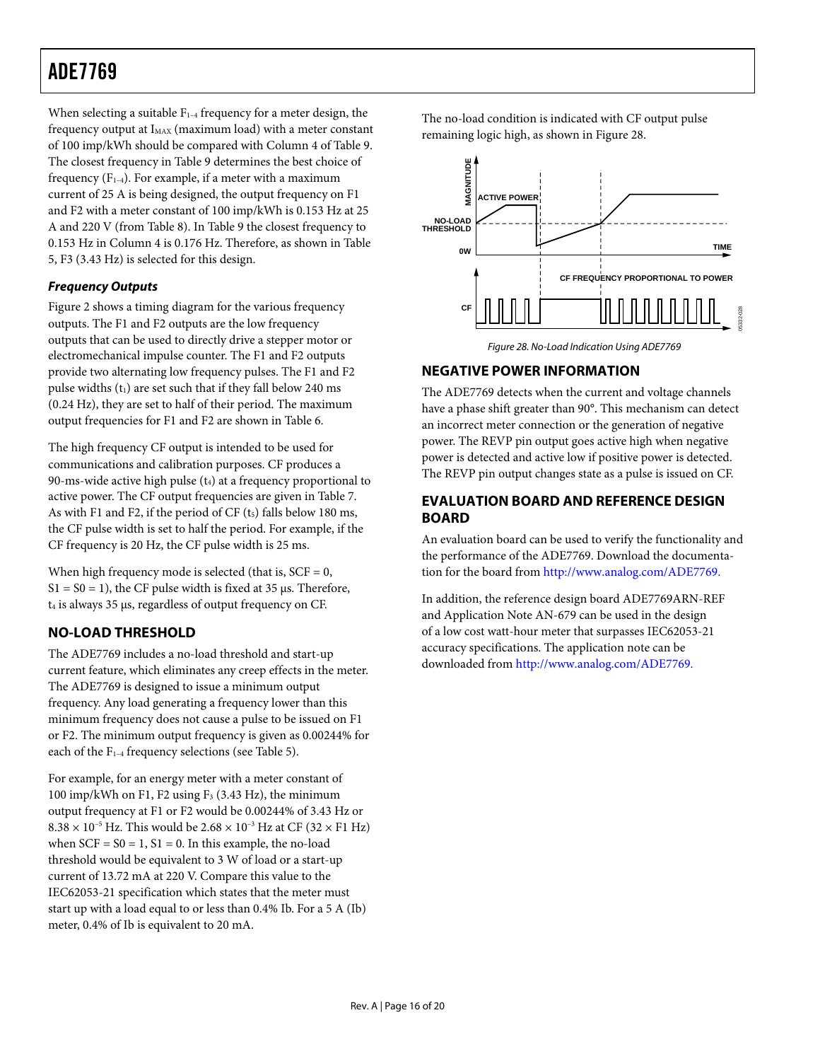<span id="page-15-0"></span>When selecting a suitable  $F_{1-4}$  frequency for a meter design, the frequency output at  $I_{MAX}$  (maximum load) with a meter constant of 100 imp/kWh should be compared with Column 4 of [Table 9](#page-14-4). The closest frequency in [Table 9](#page-14-4) determines the best choice of frequency  $(F_{1-4})$ . For example, if a meter with a maximum current of 25 A is being designed, the output frequency on F1 and F2 with a meter constant of 100 imp/kWh is 0.153 Hz at 25 A and 220 V (from [Table 8](#page-14-3)). In [Table 9](#page-14-4) the closest frequency to 0.153 Hz in Column 4 is 0.176 Hz. Therefore, as shown in [Table](#page-14-2)  [5,](#page-14-2) F3 (3.43 Hz) is selected for this design.

### **Frequency Outputs**

<span id="page-15-1"></span>[Figure 2](#page-3-1) shows a timing diagram for the various frequency outputs. The F1 and F2 outputs are the low frequency outputs that can be used to directly drive a stepper motor or electromechanical impulse counter. The F1 and F2 outputs provide two alternating low frequency pulses. The F1 and F2 pulse widths  $(t_1)$  are set such that if they fall below 240 ms (0.24 Hz), they are set to half of their period. The maximum output frequencies for F1 and F2 are shown in [Table 6](#page-14-1).

The high frequency CF output is intended to be used for communications and calibration purposes. CF produces a 90-ms-wide active high pulse  $(t_4)$  at a frequency proportional to active power. The CF output frequencies are given in [Table 7](#page-14-2). As with F1 and F2, if the period of  $CF$  ( $t<sub>5</sub>$ ) falls below 180 ms, the CF pulse width is set to half the period. For example, if the CF frequency is 20 Hz, the CF pulse width is 25 ms.

When high frequency mode is selected (that is,  $SCF = 0$ ,  $S1 = S0 = 1$ ), the CF pulse width is fixed at 35 μs. Therefore, t4 is always 35 μs, regardless of output frequency on CF.

### **NO-LOAD THRESHOLD**

The ADE7769 includes a no-load threshold and start-up current feature, which eliminates any creep effects in the meter. The ADE7769 is designed to issue a minimum output frequency. Any load generating a frequency lower than this minimum frequency does not cause a pulse to be issued on F1 or F2. The minimum output frequency is given as 0.00244% for each of the  $F_{1-4}$  frequency selections (see [Table 5](#page-14-2)).

For example, for an energy meter with a meter constant of 100 imp/kWh on F1, F2 using  $F_3$  (3.43 Hz), the minimum output frequency at F1 or F2 would be 0.00244% of 3.43 Hz or  $8.38 \times 10^{-5}$  Hz. This would be  $2.68 \times 10^{-3}$  Hz at CF (32  $\times$  F1 Hz) when  $SCF = S0 = 1$ ,  $S1 = 0$ . In this example, the no-load threshold would be equivalent to 3 W of load or a start-up current of 13.72 mA at 220 V. Compare this value to the IEC62053-21 specification which states that the meter must start up with a load equal to or less than 0.4% Ib. For a 5 A (Ib) meter, 0.4% of Ib is equivalent to 20 mA.

The no-load condition is indicated with CF output pulse remaining logic high, as shown in [Figure 28](#page-15-1).



Figure 28. No-Load Indication Using ADE7769

### **NEGATIVE POWER INFORMATION**

The ADE7769 detects when the current and voltage channels have a phase shift greater than 90°. This mechanism can detect an incorrect meter connection or the generation of negative power. The REVP pin output goes active high when negative power is detected and active low if positive power is detected. The REVP pin output changes state as a pulse is issued on CF.

### **EVALUATION BOARD AND REFERENCE DESIGN BOARD**

An evaluation board can be used to verify the functionality and the performance of the ADE7769. Download the documentation for the board from http://www.analog.com/ADE7769.

In addition, the reference design board ADE7769ARN-REF and Application Note AN-679 can be used in the design of a low cost watt-hour meter that surpasses IEC62053-21 accuracy specifications. The application note can be downloaded from http://www.analog.com/ADE7769.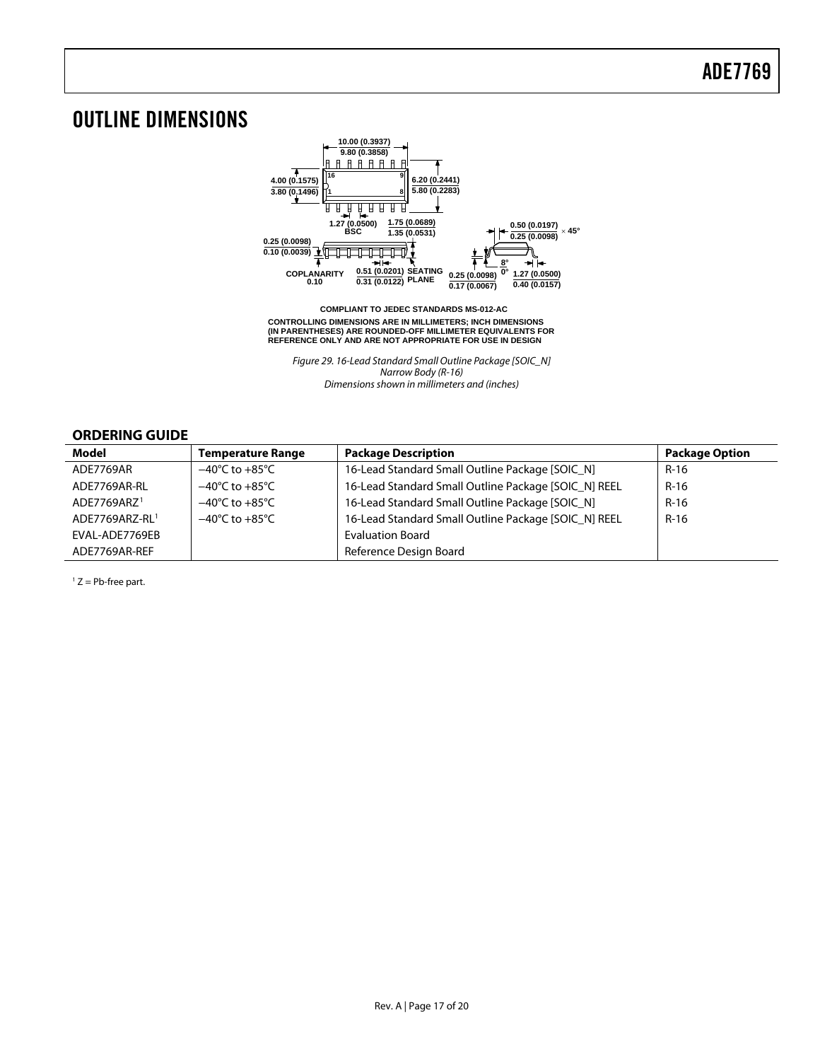## <span id="page-16-0"></span>OUTLINE DIMENSIONS



**CONTROLLING DIMENSIONS ARE IN MILLIMETERS; INCH DIMENSIONS (IN PARENTHESES) ARE ROUNDED-OFF MILLIMETER EQUIVALENTS FOR REFERENCE ONLY AND ARE NOT APPROPRIATE FOR USE IN DESIGN COMPLIANT TO JEDEC STANDARDS MS-012-AC**

Figure 29. 16-Lead Standard Small Outline Package [SOIC\_N] Narrow Body (R-16) Dimensions shown in millimeters and (inches)

#### **ORDERING GUIDE**

<span id="page-16-1"></span>

| Model                   | <b>Temperature Range</b>           | <b>Package Description</b>                           | <b>Package Option</b> |
|-------------------------|------------------------------------|------------------------------------------------------|-----------------------|
| ADE7769AR               | $-40^{\circ}$ C to $+85^{\circ}$ C | 16-Lead Standard Small Outline Package [SOIC N]      | $R-16$                |
| ADE7769AR-RL            | $-40^{\circ}$ C to $+85^{\circ}$ C | 16-Lead Standard Small Outline Package [SOIC_N] REEL | $R-16$                |
| ADE7769ARZ <sup>1</sup> | $-40^{\circ}$ C to $+85^{\circ}$ C | 16-Lead Standard Small Outline Package [SOIC_N]      | $R-16$                |
| ADE7769ARZ-RL1          | $-40^{\circ}$ C to $+85^{\circ}$ C | 16-Lead Standard Small Outline Package [SOIC_N] REEL | $R-16$                |
| EVAL-ADE7769EB          |                                    | <b>Evaluation Board</b>                              |                       |
| ADE7769AR-REF           |                                    | Reference Design Board                               |                       |

 $1 Z = Pb$ -free part.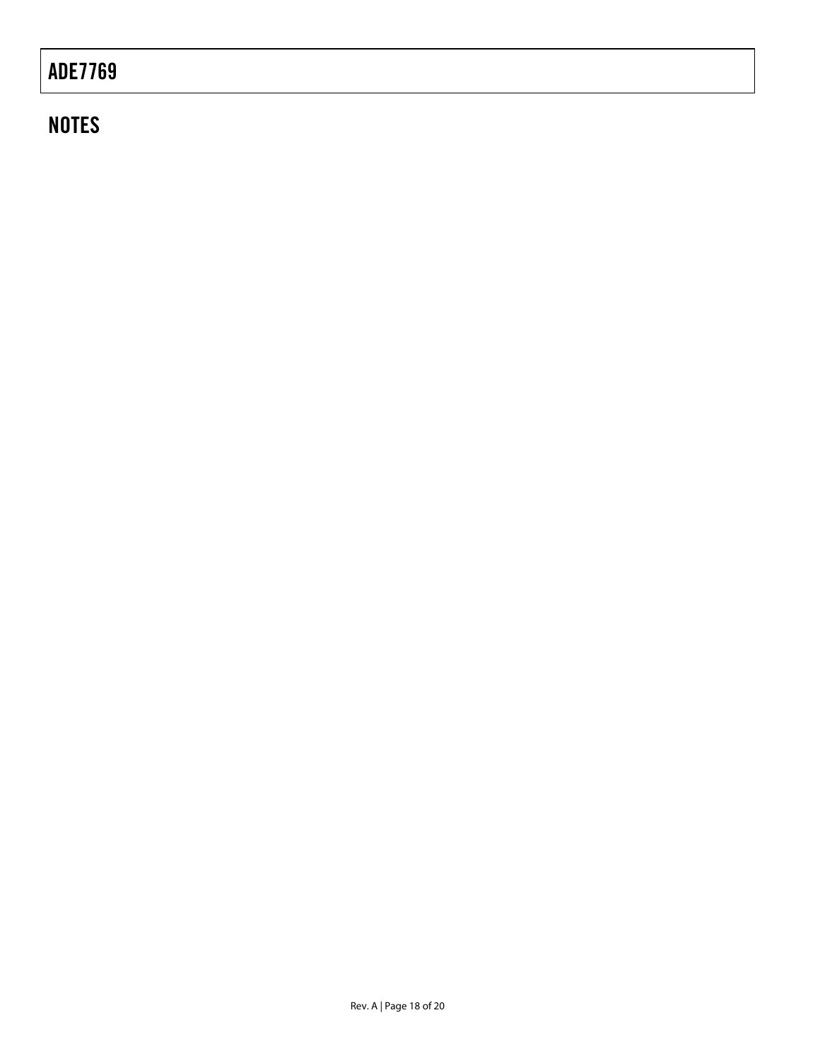## **NOTES**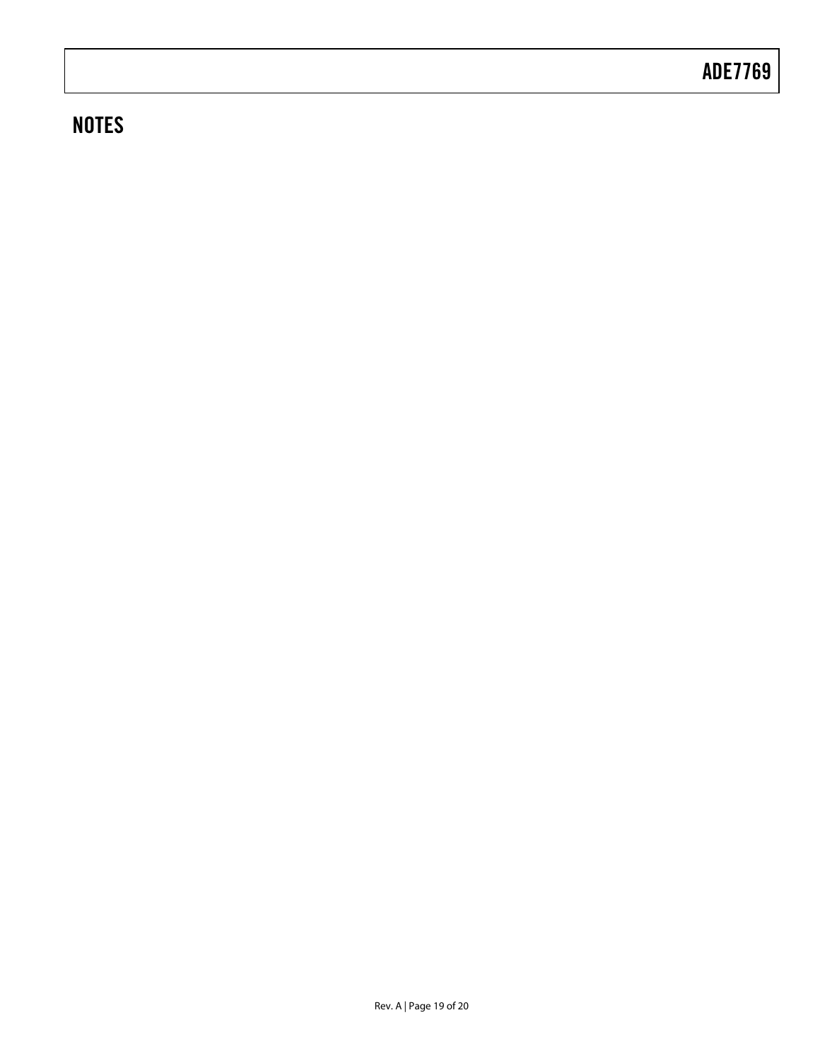## **NOTES**